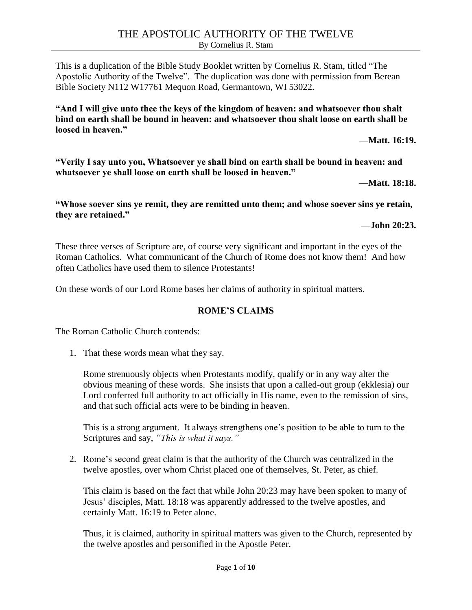This is a duplication of the Bible Study Booklet written by Cornelius R. Stam, titled "The Apostolic Authority of the Twelve". The duplication was done with permission from Berean Bible Society N112 W17761 Mequon Road, Germantown, WI 53022.

**"And I will give unto thee the keys of the kingdom of heaven: and whatsoever thou shalt bind on earth shall be bound in heaven: and whatsoever thou shalt loose on earth shall be loosed in heaven."**

**—Matt. 16:19.**

**"Verily I say unto you, Whatsoever ye shall bind on earth shall be bound in heaven: and whatsoever ye shall loose on earth shall be loosed in heaven."**

**—Matt. 18:18.**

**"Whose soever sins ye remit, they are remitted unto them; and whose soever sins ye retain, they are retained."**

**—John 20:23.**

These three verses of Scripture are, of course very significant and important in the eyes of the Roman Catholics. What communicant of the Church of Rome does not know them! And how often Catholics have used them to silence Protestants!

On these words of our Lord Rome bases her claims of authority in spiritual matters.

#### **ROME'S CLAIMS**

The Roman Catholic Church contends:

1. That these words mean what they say.

Rome strenuously objects when Protestants modify, qualify or in any way alter the obvious meaning of these words. She insists that upon a called-out group (ekklesia) our Lord conferred full authority to act officially in His name, even to the remission of sins, and that such official acts were to be binding in heaven.

This is a strong argument. It always strengthens one's position to be able to turn to the Scriptures and say, *"This is what it says."*

2. Rome's second great claim is that the authority of the Church was centralized in the twelve apostles, over whom Christ placed one of themselves, St. Peter, as chief.

This claim is based on the fact that while John 20:23 may have been spoken to many of Jesus' disciples, Matt. 18:18 was apparently addressed to the twelve apostles, and certainly Matt. 16:19 to Peter alone.

Thus, it is claimed, authority in spiritual matters was given to the Church, represented by the twelve apostles and personified in the Apostle Peter.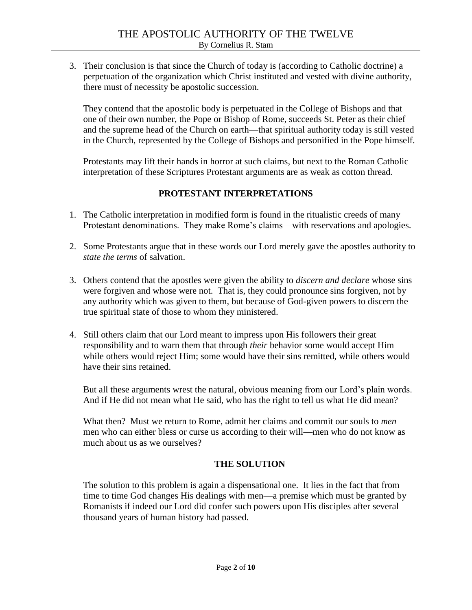3. Their conclusion is that since the Church of today is (according to Catholic doctrine) a perpetuation of the organization which Christ instituted and vested with divine authority, there must of necessity be apostolic succession.

They contend that the apostolic body is perpetuated in the College of Bishops and that one of their own number, the Pope or Bishop of Rome, succeeds St. Peter as their chief and the supreme head of the Church on earth—that spiritual authority today is still vested in the Church, represented by the College of Bishops and personified in the Pope himself.

Protestants may lift their hands in horror at such claims, but next to the Roman Catholic interpretation of these Scriptures Protestant arguments are as weak as cotton thread.

#### **PROTESTANT INTERPRETATIONS**

- 1. The Catholic interpretation in modified form is found in the ritualistic creeds of many Protestant denominations. They make Rome's claims—with reservations and apologies.
- 2. Some Protestants argue that in these words our Lord merely gave the apostles authority to *state the terms* of salvation.
- 3. Others contend that the apostles were given the ability to *discern and declare* whose sins were forgiven and whose were not. That is, they could pronounce sins forgiven, not by any authority which was given to them, but because of God-given powers to discern the true spiritual state of those to whom they ministered.
- 4. Still others claim that our Lord meant to impress upon His followers their great responsibility and to warn them that through *their* behavior some would accept Him while others would reject Him; some would have their sins remitted, while others would have their sins retained.

But all these arguments wrest the natural, obvious meaning from our Lord's plain words. And if He did not mean what He said, who has the right to tell us what He did mean?

What then? Must we return to Rome, admit her claims and commit our souls to *men* men who can either bless or curse us according to their will—men who do not know as much about us as we ourselves?

#### **THE SOLUTION**

The solution to this problem is again a dispensational one. It lies in the fact that from time to time God changes His dealings with men—a premise which must be granted by Romanists if indeed our Lord did confer such powers upon His disciples after several thousand years of human history had passed.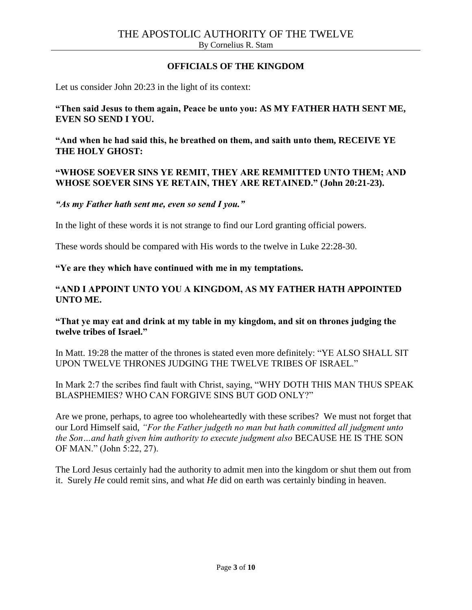#### **OFFICIALS OF THE KINGDOM**

Let us consider John 20:23 in the light of its context:

**"Then said Jesus to them again, Peace be unto you: AS MY FATHER HATH SENT ME, EVEN SO SEND I YOU.**

**"And when he had said this, he breathed on them, and saith unto them, RECEIVE YE THE HOLY GHOST:**

#### **"WHOSE SOEVER SINS YE REMIT, THEY ARE REMMITTED UNTO THEM; AND WHOSE SOEVER SINS YE RETAIN, THEY ARE RETAINED." (John 20:21-23).**

*"As my Father hath sent me, even so send I you."*

In the light of these words it is not strange to find our Lord granting official powers.

These words should be compared with His words to the twelve in Luke 22:28-30.

**"Ye are they which have continued with me in my temptations.**

#### **"AND I APPOINT UNTO YOU A KINGDOM, AS MY FATHER HATH APPOINTED UNTO ME.**

#### **"That ye may eat and drink at my table in my kingdom, and sit on thrones judging the twelve tribes of Israel."**

In Matt. 19:28 the matter of the thrones is stated even more definitely: "YE ALSO SHALL SIT UPON TWELVE THRONES JUDGING THE TWELVE TRIBES OF ISRAEL."

In Mark 2:7 the scribes find fault with Christ, saying, "WHY DOTH THIS MAN THUS SPEAK BLASPHEMIES? WHO CAN FORGIVE SINS BUT GOD ONLY?"

Are we prone, perhaps, to agree too wholeheartedly with these scribes? We must not forget that our Lord Himself said, *"For the Father judgeth no man but hath committed all judgment unto the Son…and hath given him authority to execute judgment also* BECAUSE HE IS THE SON OF MAN." (John 5:22, 27).

The Lord Jesus certainly had the authority to admit men into the kingdom or shut them out from it. Surely *He* could remit sins, and what *He* did on earth was certainly binding in heaven.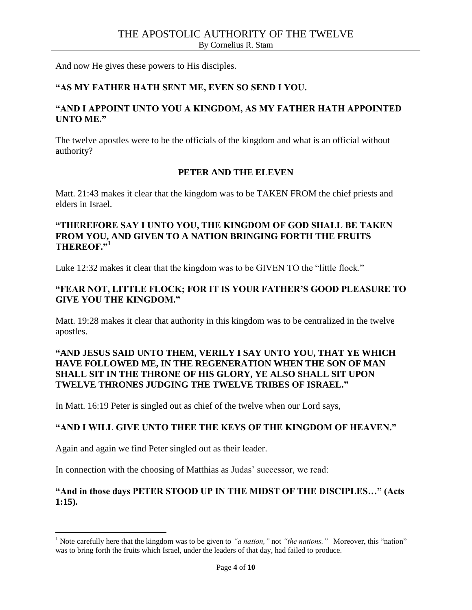And now He gives these powers to His disciples.

#### **"AS MY FATHER HATH SENT ME, EVEN SO SEND I YOU.**

#### **"AND I APPOINT UNTO YOU A KINGDOM, AS MY FATHER HATH APPOINTED UNTO ME."**

The twelve apostles were to be the officials of the kingdom and what is an official without authority?

#### **PETER AND THE ELEVEN**

Matt. 21:43 makes it clear that the kingdom was to be TAKEN FROM the chief priests and elders in Israel.

#### **"THEREFORE SAY I UNTO YOU, THE KINGDOM OF GOD SHALL BE TAKEN FROM YOU, AND GIVEN TO A NATION BRINGING FORTH THE FRUITS THEREOF."<sup>1</sup>**

Luke 12:32 makes it clear that the kingdom was to be GIVEN TO the "little flock."

#### **"FEAR NOT, LITTLE FLOCK; FOR IT IS YOUR FATHER'S GOOD PLEASURE TO GIVE YOU THE KINGDOM."**

Matt. 19:28 makes it clear that authority in this kingdom was to be centralized in the twelve apostles.

## **"AND JESUS SAID UNTO THEM, VERILY I SAY UNTO YOU, THAT YE WHICH HAVE FOLLOWED ME, IN THE REGENERATION WHEN THE SON OF MAN SHALL SIT IN THE THRONE OF HIS GLORY, YE ALSO SHALL SIT UPON TWELVE THRONES JUDGING THE TWELVE TRIBES OF ISRAEL."**

In Matt. 16:19 Peter is singled out as chief of the twelve when our Lord says,

#### **"AND I WILL GIVE UNTO THEE THE KEYS OF THE KINGDOM OF HEAVEN."**

Again and again we find Peter singled out as their leader.

 $\overline{\phantom{a}}$ 

In connection with the choosing of Matthias as Judas' successor, we read:

#### **"And in those days PETER STOOD UP IN THE MIDST OF THE DISCIPLES…" (Acts 1:15).**

<sup>&</sup>lt;sup>1</sup> Note carefully here that the kingdom was to be given to *"a nation,"* not *"the nations."* Moreover, this "nation" was to bring forth the fruits which Israel, under the leaders of that day, had failed to produce.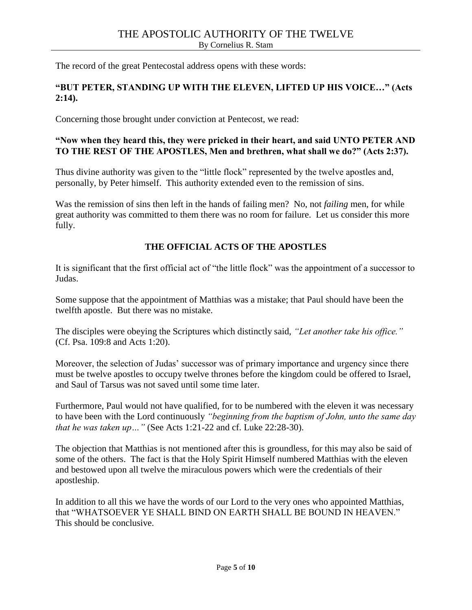The record of the great Pentecostal address opens with these words:

## **"BUT PETER, STANDING UP WITH THE ELEVEN, LIFTED UP HIS VOICE…" (Acts 2:14).**

Concerning those brought under conviction at Pentecost, we read:

#### **"Now when they heard this, they were pricked in their heart, and said UNTO PETER AND TO THE REST OF THE APOSTLES, Men and brethren, what shall we do?" (Acts 2:37).**

Thus divine authority was given to the "little flock" represented by the twelve apostles and, personally, by Peter himself. This authority extended even to the remission of sins.

Was the remission of sins then left in the hands of failing men? No, not *failing* men, for while great authority was committed to them there was no room for failure. Let us consider this more fully.

## **THE OFFICIAL ACTS OF THE APOSTLES**

It is significant that the first official act of "the little flock" was the appointment of a successor to Judas.

Some suppose that the appointment of Matthias was a mistake; that Paul should have been the twelfth apostle. But there was no mistake.

The disciples were obeying the Scriptures which distinctly said, *"Let another take his office."*  (Cf. Psa. 109:8 and Acts 1:20).

Moreover, the selection of Judas' successor was of primary importance and urgency since there must be twelve apostles to occupy twelve thrones before the kingdom could be offered to Israel, and Saul of Tarsus was not saved until some time later.

Furthermore, Paul would not have qualified, for to be numbered with the eleven it was necessary to have been with the Lord continuously *"beginning from the baptism of John, unto the same day that he was taken up…"* (See Acts 1:21-22 and cf. Luke 22:28-30).

The objection that Matthias is not mentioned after this is groundless, for this may also be said of some of the others. The fact is that the Holy Spirit Himself numbered Matthias with the eleven and bestowed upon all twelve the miraculous powers which were the credentials of their apostleship.

In addition to all this we have the words of our Lord to the very ones who appointed Matthias, that "WHATSOEVER YE SHALL BIND ON EARTH SHALL BE BOUND IN HEAVEN." This should be conclusive.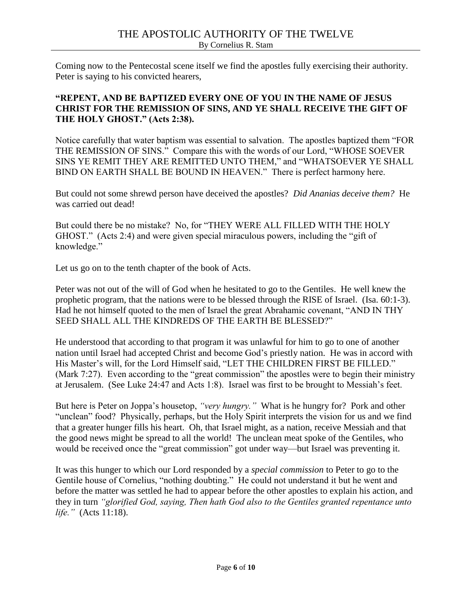Coming now to the Pentecostal scene itself we find the apostles fully exercising their authority. Peter is saying to his convicted hearers,

## **"REPENT, AND BE BAPTIZED EVERY ONE OF YOU IN THE NAME OF JESUS CHRIST FOR THE REMISSION OF SINS, AND YE SHALL RECEIVE THE GIFT OF THE HOLY GHOST." (Acts 2:38).**

Notice carefully that water baptism was essential to salvation. The apostles baptized them "FOR THE REMISSION OF SINS." Compare this with the words of our Lord, "WHOSE SOEVER SINS YE REMIT THEY ARE REMITTED UNTO THEM," and "WHATSOEVER YE SHALL BIND ON EARTH SHALL BE BOUND IN HEAVEN." There is perfect harmony here.

But could not some shrewd person have deceived the apostles? *Did Ananias deceive them?* He was carried out dead!

But could there be no mistake? No, for "THEY WERE ALL FILLED WITH THE HOLY GHOST." (Acts 2:4) and were given special miraculous powers, including the "gift of knowledge."

Let us go on to the tenth chapter of the book of Acts.

Peter was not out of the will of God when he hesitated to go to the Gentiles. He well knew the prophetic program, that the nations were to be blessed through the RISE of Israel. (Isa. 60:1-3). Had he not himself quoted to the men of Israel the great Abrahamic covenant, "AND IN THY SEED SHALL ALL THE KINDREDS OF THE EARTH BE BLESSED?"

He understood that according to that program it was unlawful for him to go to one of another nation until Israel had accepted Christ and become God's priestly nation. He was in accord with His Master's will, for the Lord Himself said, "LET THE CHILDREN FIRST BE FILLED." (Mark 7:27). Even according to the "great commission" the apostles were to begin their ministry at Jerusalem. (See Luke 24:47 and Acts 1:8). Israel was first to be brought to Messiah's feet.

But here is Peter on Joppa's housetop, *"very hungry."* What is he hungry for? Pork and other "unclean" food? Physically, perhaps, but the Holy Spirit interprets the vision for us and we find that a greater hunger fills his heart. Oh, that Israel might, as a nation, receive Messiah and that the good news might be spread to all the world! The unclean meat spoke of the Gentiles, who would be received once the "great commission" got under way—but Israel was preventing it.

It was this hunger to which our Lord responded by a *special commission* to Peter to go to the Gentile house of Cornelius, "nothing doubting." He could not understand it but he went and before the matter was settled he had to appear before the other apostles to explain his action, and they in turn *"glorified God, saying, Then hath God also to the Gentiles granted repentance unto life."* (Acts 11:18).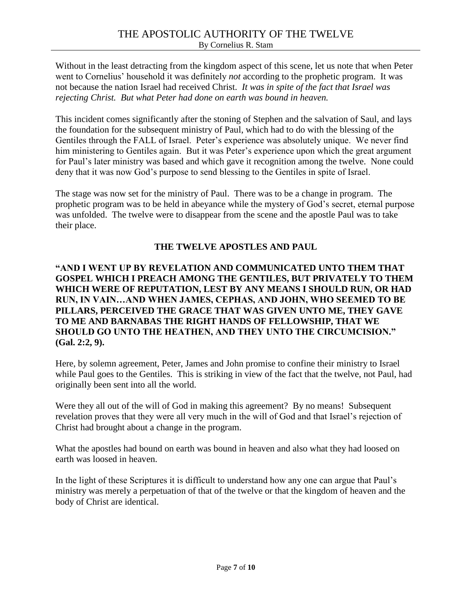Without in the least detracting from the kingdom aspect of this scene, let us note that when Peter went to Cornelius' household it was definitely *not* according to the prophetic program. It was not because the nation Israel had received Christ. *It was in spite of the fact that Israel was rejecting Christ. But what Peter had done on earth was bound in heaven.*

This incident comes significantly after the stoning of Stephen and the salvation of Saul, and lays the foundation for the subsequent ministry of Paul, which had to do with the blessing of the Gentiles through the FALL of Israel. Peter's experience was absolutely unique. We never find him ministering to Gentiles again. But it was Peter's experience upon which the great argument for Paul's later ministry was based and which gave it recognition among the twelve. None could deny that it was now God's purpose to send blessing to the Gentiles in spite of Israel.

The stage was now set for the ministry of Paul. There was to be a change in program. The prophetic program was to be held in abeyance while the mystery of God's secret, eternal purpose was unfolded. The twelve were to disappear from the scene and the apostle Paul was to take their place.

#### **THE TWELVE APOSTLES AND PAUL**

### **"AND I WENT UP BY REVELATION AND COMMUNICATED UNTO THEM THAT GOSPEL WHICH I PREACH AMONG THE GENTILES, BUT PRIVATELY TO THEM WHICH WERE OF REPUTATION, LEST BY ANY MEANS I SHOULD RUN, OR HAD RUN, IN VAIN…AND WHEN JAMES, CEPHAS, AND JOHN, WHO SEEMED TO BE PILLARS, PERCEIVED THE GRACE THAT WAS GIVEN UNTO ME, THEY GAVE TO ME AND BARNABAS THE RIGHT HANDS OF FELLOWSHIP, THAT WE SHOULD GO UNTO THE HEATHEN, AND THEY UNTO THE CIRCUMCISION." (Gal. 2:2, 9).**

Here, by solemn agreement, Peter, James and John promise to confine their ministry to Israel while Paul goes to the Gentiles. This is striking in view of the fact that the twelve, not Paul, had originally been sent into all the world.

Were they all out of the will of God in making this agreement? By no means! Subsequent revelation proves that they were all very much in the will of God and that Israel's rejection of Christ had brought about a change in the program.

What the apostles had bound on earth was bound in heaven and also what they had loosed on earth was loosed in heaven.

In the light of these Scriptures it is difficult to understand how any one can argue that Paul's ministry was merely a perpetuation of that of the twelve or that the kingdom of heaven and the body of Christ are identical.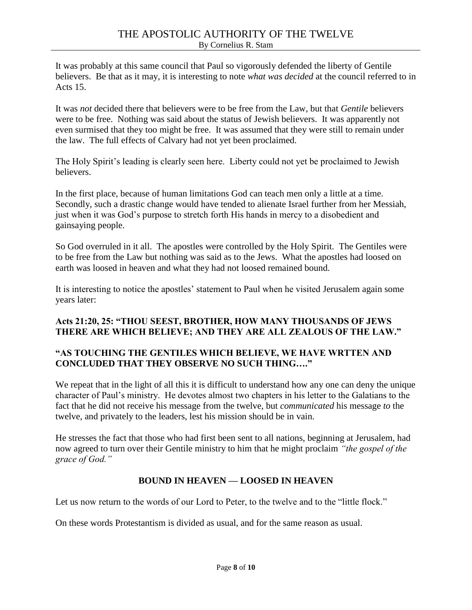It was probably at this same council that Paul so vigorously defended the liberty of Gentile believers. Be that as it may, it is interesting to note *what was decided* at the council referred to in Acts 15.

It was *not* decided there that believers were to be free from the Law, but that *Gentile* believers were to be free. Nothing was said about the status of Jewish believers. It was apparently not even surmised that they too might be free. It was assumed that they were still to remain under the law. The full effects of Calvary had not yet been proclaimed.

The Holy Spirit's leading is clearly seen here. Liberty could not yet be proclaimed to Jewish **believers** 

In the first place, because of human limitations God can teach men only a little at a time. Secondly, such a drastic change would have tended to alienate Israel further from her Messiah, just when it was God's purpose to stretch forth His hands in mercy to a disobedient and gainsaying people.

So God overruled in it all. The apostles were controlled by the Holy Spirit. The Gentiles were to be free from the Law but nothing was said as to the Jews. What the apostles had loosed on earth was loosed in heaven and what they had not loosed remained bound.

It is interesting to notice the apostles' statement to Paul when he visited Jerusalem again some years later:

## **Acts 21:20, 25: "THOU SEEST, BROTHER, HOW MANY THOUSANDS OF JEWS THERE ARE WHICH BELIEVE; AND THEY ARE ALL ZEALOUS OF THE LAW."**

## **"AS TOUCHING THE GENTILES WHICH BELIEVE, WE HAVE WRTTEN AND CONCLUDED THAT THEY OBSERVE NO SUCH THING…."**

We repeat that in the light of all this it is difficult to understand how any one can deny the unique character of Paul's ministry. He devotes almost two chapters in his letter to the Galatians to the fact that he did not receive his message from the twelve, but *communicated* his message *to* the twelve, and privately to the leaders, lest his mission should be in vain.

He stresses the fact that those who had first been sent to all nations, beginning at Jerusalem, had now agreed to turn over their Gentile ministry to him that he might proclaim *"the gospel of the grace of God."*

## **BOUND IN HEAVEN — LOOSED IN HEAVEN**

Let us now return to the words of our Lord to Peter, to the twelve and to the "little flock."

On these words Protestantism is divided as usual, and for the same reason as usual.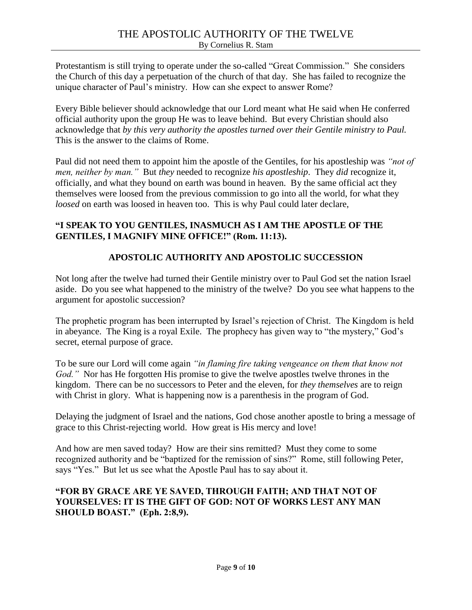Protestantism is still trying to operate under the so-called "Great Commission." She considers the Church of this day a perpetuation of the church of that day. She has failed to recognize the unique character of Paul's ministry. How can she expect to answer Rome?

Every Bible believer should acknowledge that our Lord meant what He said when He conferred official authority upon the group He was to leave behind. But every Christian should also acknowledge that *by this very authority the apostles turned over their Gentile ministry to Paul.* This is the answer to the claims of Rome.

Paul did not need them to appoint him the apostle of the Gentiles, for his apostleship was *"not of men, neither by man."* But *they* needed to recognize *his apostleship*. They *did* recognize it, officially, and what they bound on earth was bound in heaven. By the same official act they themselves were loosed from the previous commission to go into all the world, for what they *loosed* on earth was loosed in heaven too. This is why Paul could later declare,

## **"I SPEAK TO YOU GENTILES, INASMUCH AS I AM THE APOSTLE OF THE GENTILES, I MAGNIFY MINE OFFICE!" (Rom. 11:13).**

# **APOSTOLIC AUTHORITY AND APOSTOLIC SUCCESSION**

Not long after the twelve had turned their Gentile ministry over to Paul God set the nation Israel aside. Do you see what happened to the ministry of the twelve? Do you see what happens to the argument for apostolic succession?

The prophetic program has been interrupted by Israel's rejection of Christ. The Kingdom is held in abeyance. The King is a royal Exile. The prophecy has given way to "the mystery," God's secret, eternal purpose of grace.

To be sure our Lord will come again *"in flaming fire taking vengeance on them that know not God."* Nor has He forgotten His promise to give the twelve apostles twelve thrones in the kingdom. There can be no successors to Peter and the eleven, for *they themselves* are to reign with Christ in glory. What is happening now is a parenthesis in the program of God.

Delaying the judgment of Israel and the nations, God chose another apostle to bring a message of grace to this Christ-rejecting world. How great is His mercy and love!

And how are men saved today? How are their sins remitted? Must they come to some recognized authority and be "baptized for the remission of sins?" Rome, still following Peter, says "Yes." But let us see what the Apostle Paul has to say about it.

#### **"FOR BY GRACE ARE YE SAVED, THROUGH FAITH; AND THAT NOT OF YOURSELVES: IT IS THE GIFT OF GOD: NOT OF WORKS LEST ANY MAN SHOULD BOAST." (Eph. 2:8,9).**